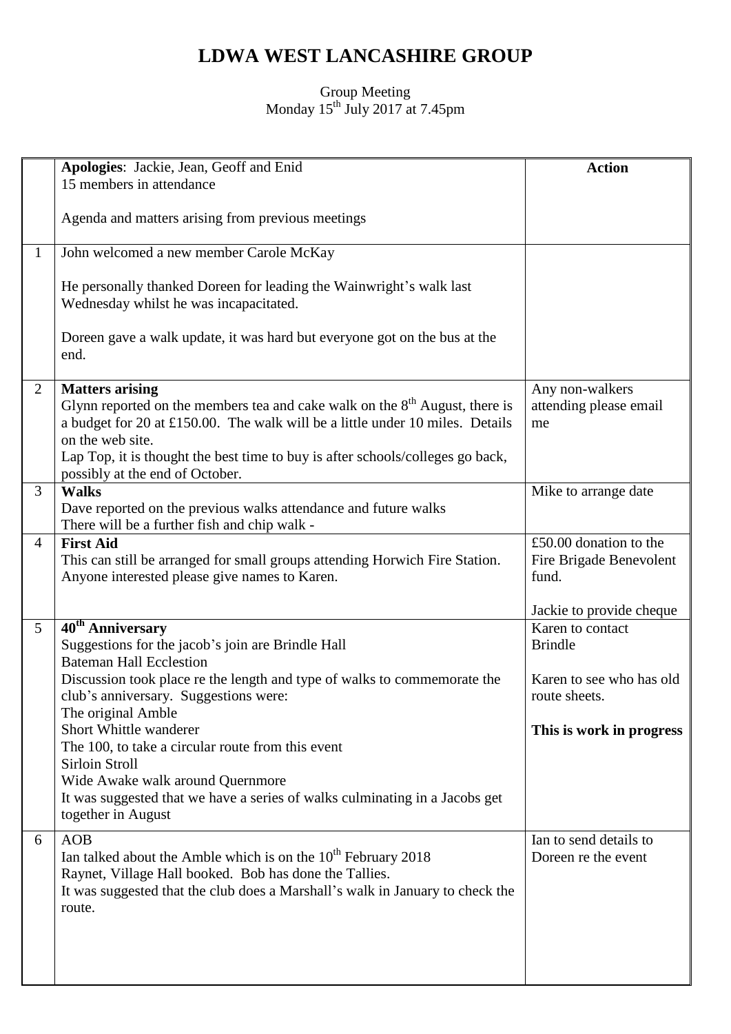## **LDWA WEST LANCASHIRE GROUP**

## Group Meeting Monday  $15^{th}$  July 2017 at 7.45pm

|                | Apologies: Jackie, Jean, Geoff and Enid                                                                                                                                                                                                                                                                                           | <b>Action</b>                                                                          |
|----------------|-----------------------------------------------------------------------------------------------------------------------------------------------------------------------------------------------------------------------------------------------------------------------------------------------------------------------------------|----------------------------------------------------------------------------------------|
|                | 15 members in attendance                                                                                                                                                                                                                                                                                                          |                                                                                        |
|                | Agenda and matters arising from previous meetings                                                                                                                                                                                                                                                                                 |                                                                                        |
| $\mathbf{1}$   | John welcomed a new member Carole McKay                                                                                                                                                                                                                                                                                           |                                                                                        |
|                | He personally thanked Doreen for leading the Wainwright's walk last<br>Wednesday whilst he was incapacitated.                                                                                                                                                                                                                     |                                                                                        |
|                | Doreen gave a walk update, it was hard but everyone got on the bus at the<br>end.                                                                                                                                                                                                                                                 |                                                                                        |
| $\overline{2}$ | <b>Matters arising</b><br>Glynn reported on the members tea and cake walk on the $8th$ August, there is<br>a budget for 20 at £150.00. The walk will be a little under 10 miles. Details<br>on the web site.<br>Lap Top, it is thought the best time to buy is after schools/colleges go back,<br>possibly at the end of October. | Any non-walkers<br>attending please email<br>me                                        |
| 3              | <b>Walks</b><br>Dave reported on the previous walks attendance and future walks<br>There will be a further fish and chip walk -                                                                                                                                                                                                   | Mike to arrange date                                                                   |
| $\overline{4}$ | <b>First Aid</b><br>This can still be arranged for small groups attending Horwich Fire Station.<br>Anyone interested please give names to Karen.                                                                                                                                                                                  | £50.00 donation to the<br>Fire Brigade Benevolent<br>fund.<br>Jackie to provide cheque |
| 5 <sup>5</sup> | 40 <sup>th</sup> Anniversary                                                                                                                                                                                                                                                                                                      | Karen to contact                                                                       |
|                | Suggestions for the jacob's join are Brindle Hall<br><b>Bateman Hall Ecclestion</b>                                                                                                                                                                                                                                               | <b>Brindle</b>                                                                         |
|                | Discussion took place re the length and type of walks to commemorate the<br>club's anniversary. Suggestions were:<br>The original Amble                                                                                                                                                                                           | Karen to see who has old<br>route sheets.                                              |
|                | Short Whittle wanderer<br>The 100, to take a circular route from this event<br>Sirloin Stroll                                                                                                                                                                                                                                     | This is work in progress                                                               |
|                | Wide Awake walk around Quernmore<br>It was suggested that we have a series of walks culminating in a Jacobs get<br>together in August                                                                                                                                                                                             |                                                                                        |
| 6              | <b>AOB</b><br>Ian talked about the Amble which is on the $10^{th}$ February 2018<br>Raynet, Village Hall booked. Bob has done the Tallies.<br>It was suggested that the club does a Marshall's walk in January to check the<br>route.                                                                                             | Ian to send details to<br>Doreen re the event                                          |